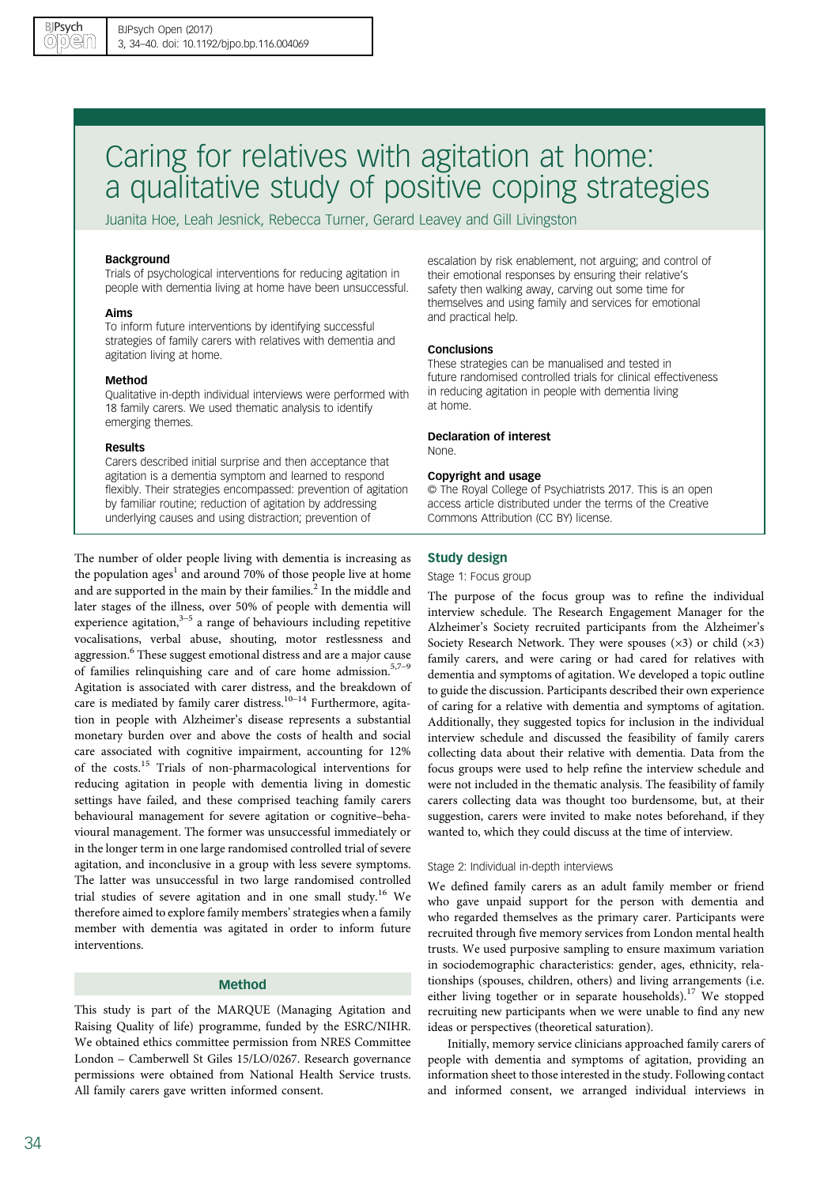# Caring for relatives with agitation at home: a qualitative study of positive coping strategies

Juanita Hoe, Leah Jesnick, Rebecca Turner, Gerard Leavey and Gill Livingston

#### Background

Trials of psychological interventions for reducing agitation in people with dementia living at home have been unsuccessful.

#### Aims

To inform future interventions by identifying successful strategies of family carers with relatives with dementia and agitation living at home.

#### Method

Qualitative in-depth individual interviews were performed with 18 family carers. We used thematic analysis to identify emerging themes.

#### Results

Carers described initial surprise and then acceptance that agitation is a dementia symptom and learned to respond flexibly. Their strategies encompassed: prevention of agitation by familiar routine; reduction of agitation by addressing underlying causes and using distraction; prevention of

The number of older people living with dementia is increasing as the population  $ages<sup>1</sup>$  $ages<sup>1</sup>$  $ages<sup>1</sup>$  and around 70% of those people live at home and are supported in the main by their families.<sup>[2](#page-5-0)</sup> In the middle and later stages of the illness, over 50% of people with dementia will experience agitation, $3-5$  $3-5$  $3-5$  a range of behaviours including repetitive vocalisations, verbal abuse, shouting, motor restlessness and aggression.<sup>[6](#page-5-0)</sup> These suggest emotional distress and are a major cause of families relinquishing care and of care home admission.<sup>[5](#page-5-0),[7](#page-5-0)-[9](#page-5-0)</sup> Agitation is associated with carer distress, and the breakdown of care is mediated by family carer distress.<sup>[10](#page-5-0)–[14](#page-6-0)</sup> Furthermore, agitation in people with Alzheimer's disease represents a substantial monetary burden over and above the costs of health and social care associated with cognitive impairment, accounting for 12% of the costs.[15](#page-6-0) Trials of non-pharmacological interventions for reducing agitation in people with dementia living in domestic settings have failed, and these comprised teaching family carers behavioural management for severe agitation or cognitive–behavioural management. The former was unsuccessful immediately or in the longer term in one large randomised controlled trial of severe agitation, and inconclusive in a group with less severe symptoms. The latter was unsuccessful in two large randomised controlled trial studies of severe agitation and in one small study.<sup>[16](#page-6-0)</sup> We therefore aimed to explore family members' strategies when a family member with dementia was agitated in order to inform future interventions.

# Method

This study is part of the MARQUE (Managing Agitation and Raising Quality of life) programme, funded by the ESRC/NIHR. We obtained ethics committee permission from NRES Committee London – Camberwell St Giles 15/LO/0267. Research governance permissions were obtained from National Health Service trusts. All family carers gave written informed consent.

escalation by risk enablement, not arguing; and control of their emotional responses by ensuring their relative's safety then walking away, carving out some time for themselves and using family and services for emotional and practical help.

#### **Conclusions**

These strategies can be manualised and tested in future randomised controlled trials for clinical effectiveness in reducing agitation in people with dementia living at home.

## Declaration of interest

None.

## Copyright and usage

© The Royal College of Psychiatrists 2017. This is an open access article distributed under the terms of the Creative Commons Attribution (CC BY) license.

# Study design

#### Stage 1: Focus group

The purpose of the focus group was to refine the individual interview schedule. The Research Engagement Manager for the Alzheimer's Society recruited participants from the Alzheimer's Society Research Network. They were spouses  $(x3)$  or child  $(x3)$ family carers, and were caring or had cared for relatives with dementia and symptoms of agitation. We developed a topic outline to guide the discussion. Participants described their own experience of caring for a relative with dementia and symptoms of agitation. Additionally, they suggested topics for inclusion in the individual interview schedule and discussed the feasibility of family carers collecting data about their relative with dementia. Data from the focus groups were used to help refine the interview schedule and were not included in the thematic analysis. The feasibility of family carers collecting data was thought too burdensome, but, at their suggestion, carers were invited to make notes beforehand, if they wanted to, which they could discuss at the time of interview.

#### Stage 2: Individual in-depth interviews

We defined family carers as an adult family member or friend who gave unpaid support for the person with dementia and who regarded themselves as the primary carer. Participants were recruited through five memory services from London mental health trusts. We used purposive sampling to ensure maximum variation in sociodemographic characteristics: gender, ages, ethnicity, relationships (spouses, children, others) and living arrangements (i.e. either living together or in separate households).<sup>[17](#page-6-0)</sup> We stopped recruiting new participants when we were unable to find any new ideas or perspectives (theoretical saturation).

Initially, memory service clinicians approached family carers of people with dementia and symptoms of agitation, providing an information sheet to those interested in the study. Following contact and informed consent, we arranged individual interviews in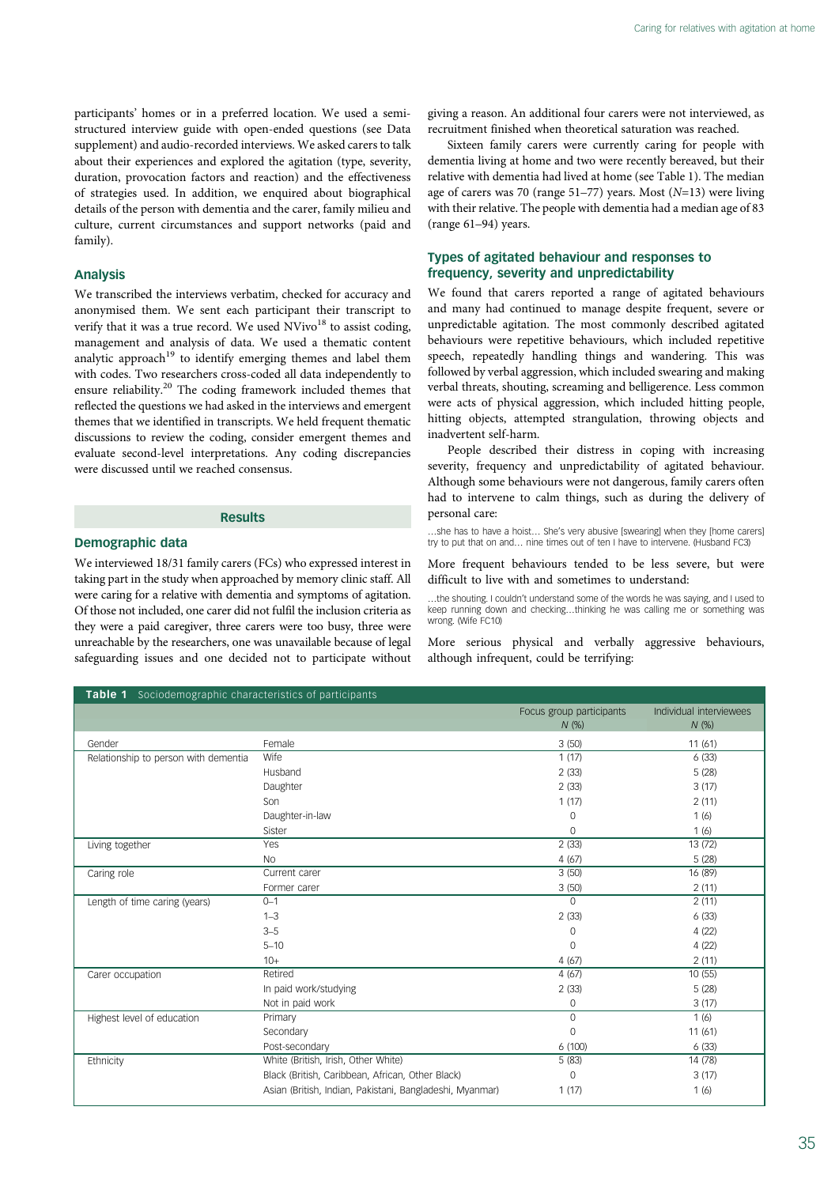participants' homes or in a preferred location. We used a semistructured interview guide with open-ended questions (see [Data](http://bjpo.rcpsych.org/lookup/suppl/doi:10.1192/bjpo.bp.116.004069/-/DC1) [supplement\)](http://bjpo.rcpsych.org/lookup/suppl/doi:10.1192/bjpo.bp.116.004069/-/DC1) and audio-recorded interviews. We asked carers to talk about their experiences and explored the agitation (type, severity, duration, provocation factors and reaction) and the effectiveness of strategies used. In addition, we enquired about biographical details of the person with dementia and the carer, family milieu and culture, current circumstances and support networks (paid and family).

## Analysis

We transcribed the interviews verbatim, checked for accuracy and anonymised them. We sent each participant their transcript to verify that it was a true record. We used NVivo<sup>[18](#page-6-0)</sup> to assist coding, management and analysis of data. We used a thematic content analytic approach<sup>[19](#page-6-0)</sup> to identify emerging themes and label them with codes. Two researchers cross-coded all data independently to ensure reliability.<sup>20</sup> The coding framework included themes that reflected the questions we had asked in the interviews and emergent themes that we identified in transcripts. We held frequent thematic discussions to review the coding, consider emergent themes and evaluate second-level interpretations. Any coding discrepancies were discussed until we reached consensus.

## Results

## Demographic data

We interviewed 18/31 family carers (FCs) who expressed interest in taking part in the study when approached by memory clinic staff. All were caring for a relative with dementia and symptoms of agitation. Of those not included, one carer did not fulfil the inclusion criteria as they were a paid caregiver, three carers were too busy, three were unreachable by the researchers, one was unavailable because of legal safeguarding issues and one decided not to participate without

giving a reason. An additional four carers were not interviewed, as recruitment finished when theoretical saturation was reached.

Sixteen family carers were currently caring for people with dementia living at home and two were recently bereaved, but their relative with dementia had lived at home (see Table 1). The median age of carers was 70 (range  $51-77$ ) years. Most ( $N=13$ ) were living with their relative. The people with dementia had a median age of 83 (range 61–94) years.

# Types of agitated behaviour and responses to frequency, severity and unpredictability

We found that carers reported a range of agitated behaviours and many had continued to manage despite frequent, severe or unpredictable agitation. The most commonly described agitated behaviours were repetitive behaviours, which included repetitive speech, repeatedly handling things and wandering. This was followed by verbal aggression, which included swearing and making verbal threats, shouting, screaming and belligerence. Less common were acts of physical aggression, which included hitting people, hitting objects, attempted strangulation, throwing objects and inadvertent self-harm.

People described their distress in coping with increasing severity, frequency and unpredictability of agitated behaviour. Although some behaviours were not dangerous, family carers often had to intervene to calm things, such as during the delivery of personal care:

…she has to have a hoist… She's very abusive [swearing] when they [home carers] try to put that on and… nine times out of ten I have to intervene. (Husband FC3)

More frequent behaviours tended to be less severe, but were difficult to live with and sometimes to understand:

…the shouting. I couldn't understand some of the words he was saying, and I used to keep running down and checking...thinking he was calling me or something was wrong. (Wife FC10)

More serious physical and verbally aggressive behaviours, although infrequent, could be terrifying:

| <b>Table 1</b> Sociodemographic characteristics of participants |                                                          |                          |                         |
|-----------------------------------------------------------------|----------------------------------------------------------|--------------------------|-------------------------|
|                                                                 |                                                          | Focus group participants | Individual interviewees |
|                                                                 |                                                          | N(%)                     | N(%)                    |
| Gender                                                          | Female                                                   | 3(50)                    | 11(61)                  |
| Relationship to person with dementia                            | Wife                                                     | 1(17)                    | 6(33)                   |
|                                                                 | Husband                                                  | 2(33)                    | 5(28)                   |
|                                                                 | Daughter                                                 | 2(33)                    | 3(17)                   |
|                                                                 | Son                                                      | 1(17)                    | 2(11)                   |
|                                                                 | Daughter-in-law                                          | 0                        | 1(6)                    |
|                                                                 | Sister                                                   | $\Omega$                 | 1(6)                    |
| Living together                                                 | Yes                                                      | 2(33)                    | 13 (72)                 |
|                                                                 | <b>No</b>                                                | 4(67)                    | 5(28)                   |
| Caring role                                                     | Current carer                                            | 3(50)                    | 16 (89)                 |
|                                                                 | Former carer                                             | 3(50)                    | 2(11)                   |
| Length of time caring (years)                                   | $0 - 1$                                                  | $\Omega$                 | 2(11)                   |
|                                                                 | $1 - 3$                                                  | 2(33)                    | 6(33)                   |
|                                                                 | $3 - 5$                                                  | 0                        | 4(22)                   |
|                                                                 | $5 - 10$                                                 | 0                        | 4(22)                   |
|                                                                 | $10+$                                                    | 4(67)                    | 2(11)                   |
| Carer occupation                                                | Retired                                                  | 4(67)                    | 10(55)                  |
|                                                                 | In paid work/studying                                    | 2(33)                    | 5(28)                   |
|                                                                 | Not in paid work                                         | 0                        | 3(17)                   |
| Highest level of education                                      | Primary                                                  | $\overline{0}$           | 1(6)                    |
|                                                                 | Secondary                                                | 0                        | 11(61)                  |
|                                                                 | Post-secondary                                           | 6(100)                   | 6(33)                   |
| Ethnicity                                                       | White (British, Irish, Other White)                      | 5(83)                    | 14 (78)                 |
|                                                                 | Black (British, Caribbean, African, Other Black)         | 0                        | 3(17)                   |
|                                                                 | Asian (British, Indian, Pakistani, Bangladeshi, Myanmar) | 1(17)                    | 1(6)                    |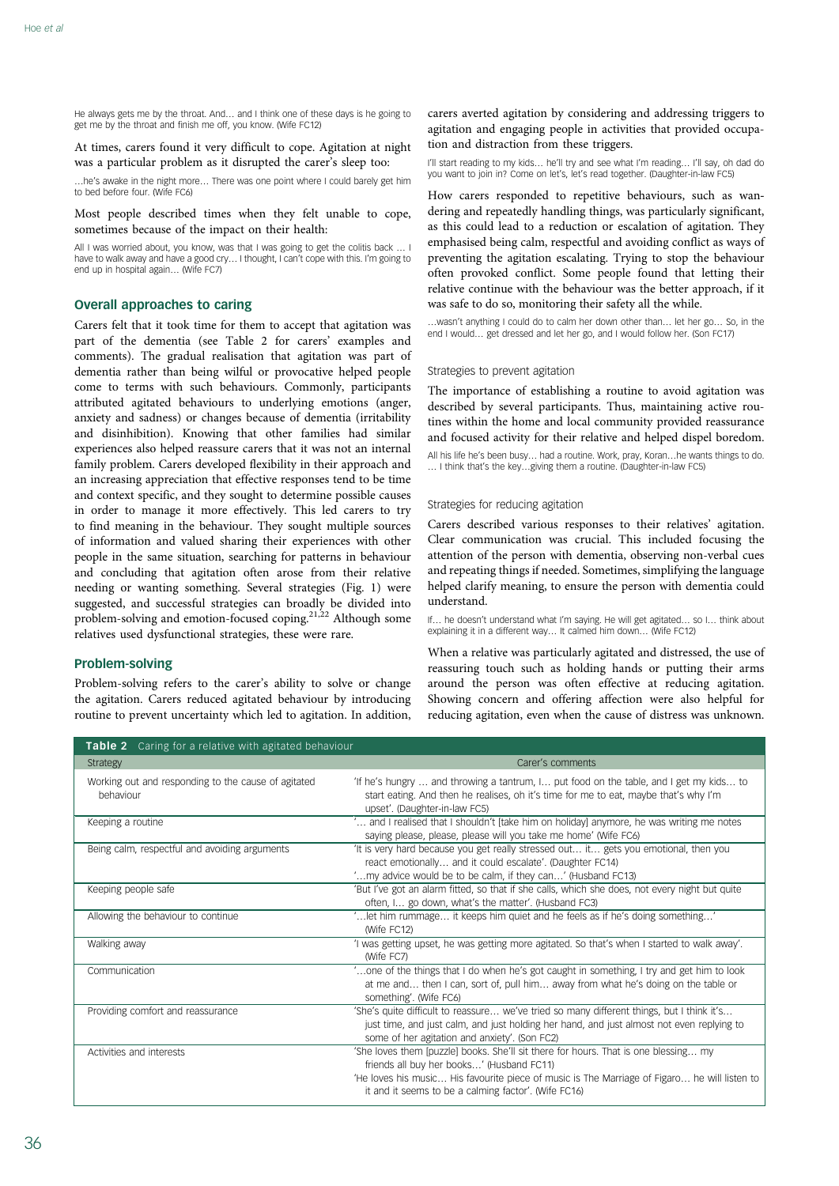He always gets me by the throat. And… and I think one of these days is he going to get me by the throat and finish me off, you know. (Wife FC12)

At times, carers found it very difficult to cope. Agitation at night was a particular problem as it disrupted the carer's sleep too:

…he's awake in the night more… There was one point where I could barely get him to bed before four. (Wife FC6)

Most people described times when they felt unable to cope, sometimes because of the impact on their health:

All I was worried about, you know, was that I was going to get the colitis back … I have to walk away and have a good cry… I thought, I can't cope with this. I'm going to end up in hospital again… (Wife FC7)

## Overall approaches to caring

Carers felt that it took time for them to accept that agitation was part of the dementia (see Table 2 for carers' examples and comments). The gradual realisation that agitation was part of dementia rather than being wilful or provocative helped people come to terms with such behaviours. Commonly, participants attributed agitated behaviours to underlying emotions (anger, anxiety and sadness) or changes because of dementia (irritability and disinhibition). Knowing that other families had similar experiences also helped reassure carers that it was not an internal family problem. Carers developed flexibility in their approach and an increasing appreciation that effective responses tend to be time and context specific, and they sought to determine possible causes in order to manage it more effectively. This led carers to try to find meaning in the behaviour. They sought multiple sources of information and valued sharing their experiences with other people in the same situation, searching for patterns in behaviour and concluding that agitation often arose from their relative needing or wanting something. Several strategies [\(Fig. 1](#page-3-0)) were suggested, and successful strategies can broadly be divided into problem-solving and emotion-focused coping.<sup>[21,](#page-6-0)22</sup> Although some relatives used dysfunctional strategies, these were rare.

## Problem-solving

Problem-solving refers to the carer's ability to solve or change the agitation. Carers reduced agitated behaviour by introducing routine to prevent uncertainty which led to agitation. In addition,

carers averted agitation by considering and addressing triggers to agitation and engaging people in activities that provided occupation and distraction from these triggers.

I'll start reading to my kids... he'll try and see what I'm reading... I'll say, oh dad do you want to join in? Come on let's, let's read together. (Daughter-in-law FC5)

How carers responded to repetitive behaviours, such as wandering and repeatedly handling things, was particularly significant, as this could lead to a reduction or escalation of agitation. They emphasised being calm, respectful and avoiding conflict as ways of preventing the agitation escalating. Trying to stop the behaviour often provoked conflict. Some people found that letting their relative continue with the behaviour was the better approach, if it was safe to do so, monitoring their safety all the while.

wasn't anything I could do to calm her down other than … let her go … So, in the end I would… get dressed and let her go, and I would follow her. (Son FC17)

#### Strategies to prevent agitation

The importance of establishing a routine to avoid agitation was described by several participants. Thus, maintaining active routines within the home and local community provided reassurance and focused activity for their relative and helped dispel boredom.

All his life he's been busy… had a routine. Work, pray, Koran…he wants things to do. … I think that's the key…giving them a routine. (Daughter-in-law FC5)

#### Strategies for reducing agitation

Carers described various responses to their relatives' agitation. Clear communication was crucial. This included focusing the attention of the person with dementia, observing non-verbal cues and repeating things if needed. Sometimes, simplifying the language helped clarify meaning, to ensure the person with dementia could understand.

If… he doesn't understand what I'm saying. He will get agitated… so I… think about explaining it in a different way… It calmed him down… (Wife FC12)

When a relative was particularly agitated and distressed, the use of reassuring touch such as holding hands or putting their arms around the person was often effective at reducing agitation. Showing concern and offering affection were also helpful for reducing agitation, even when the cause of distress was unknown.

| <b>Table 2</b> Caring for a relative with agitated behaviour     |                                                                                                                                                                                                                                                                                          |
|------------------------------------------------------------------|------------------------------------------------------------------------------------------------------------------------------------------------------------------------------------------------------------------------------------------------------------------------------------------|
| <b>Strategy</b>                                                  | Carer's comments                                                                                                                                                                                                                                                                         |
| Working out and responding to the cause of agitated<br>behaviour | If he's hungry  and throwing a tantrum, I put food on the table, and I get my kids to<br>start eating. And then he realises, oh it's time for me to eat, maybe that's why I'm<br>upset'. (Daughter-in-law FC5)                                                                           |
| Keeping a routine                                                | " and I realised that I shouldn't [take him on holiday] anymore, he was writing me notes<br>saying please, please, please will you take me home' (Wife FC6)                                                                                                                              |
| Being calm, respectful and avoiding arguments                    | 'It is very hard because you get really stressed out it gets you emotional, then you<br>react emotionally and it could escalate'. (Daughter FC14)<br>"my advice would be to be calm, if they can" (Husband FC13)                                                                         |
| Keeping people safe                                              | 'But I've got an alarm fitted, so that if she calls, which she does, not every night but quite<br>often, I go down, what's the matter'. (Husband FC3)                                                                                                                                    |
| Allowing the behaviour to continue                               | ' let him rummage it keeps him quiet and he feels as if he's doing something'<br>(Wife FC12)                                                                                                                                                                                             |
| Walking away                                                     | 'I was getting upset, he was getting more agitated. So that's when I started to walk away'.<br>(Wife FC7)                                                                                                                                                                                |
| Communication                                                    | "one of the things that I do when he's got caught in something, I try and get him to look<br>at me and then I can, sort of, pull him away from what he's doing on the table or<br>something'. (Wife FC6)                                                                                 |
| Providing comfort and reassurance                                | 'She's quite difficult to reassure we've tried so many different things, but I think it's<br>just time, and just calm, and just holding her hand, and just almost not even replying to<br>some of her agitation and anxiety'. (Son FC2)                                                  |
| Activities and interests                                         | 'She loves them [puzzle] books. She'll sit there for hours. That is one blessing my<br>friends all buy her books' (Husband FC11)<br>'He loves his music His favourite piece of music is The Marriage of Figaro he will listen to<br>it and it seems to be a calming factor'. (Wife FC16) |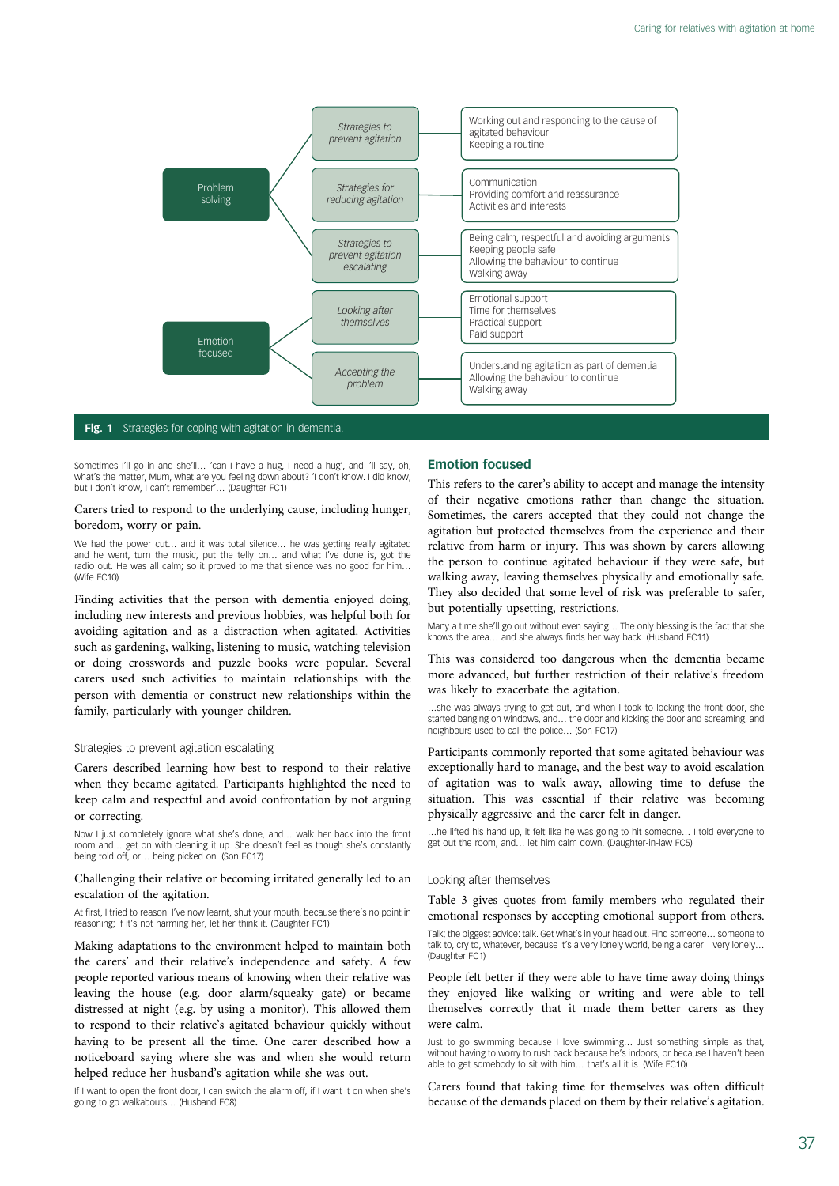<span id="page-3-0"></span>

#### Fig. 1 Strategies for coping with agitation in dementia.

Sometimes I'll go in and she'll… 'can I have a hug, I need a hug', and I'll say, oh, what's the matter, Mum, what are you feeling down about? 'I don't know. I did know, but I don't know, I can't remember'… (Daughter FC1)

#### Carers tried to respond to the underlying cause, including hunger, boredom, worry or pain.

We had the power cut… and it was total silence… he was getting really agitated and he went, turn the music, put the telly on… and what I've done is, got the radio out. He was all calm; so it proved to me that silence was no good for him… (Wife FC10)

Finding activities that the person with dementia enjoyed doing, including new interests and previous hobbies, was helpful both for avoiding agitation and as a distraction when agitated. Activities such as gardening, walking, listening to music, watching television or doing crosswords and puzzle books were popular. Several carers used such activities to maintain relationships with the person with dementia or construct new relationships within the family, particularly with younger children.

#### Strategies to prevent agitation escalating

Carers described learning how best to respond to their relative when they became agitated. Participants highlighted the need to keep calm and respectful and avoid confrontation by not arguing or correcting.

Now I just completely ignore what she's done, and… walk her back into the front room and… get on with cleaning it up. She doesn't feel as though she's constantly being told off, or… being picked on. (Son FC17)

#### Challenging their relative or becoming irritated generally led to an escalation of the agitation.

At first, I tried to reason. I've now learnt, shut your mouth, because there's no point in reasoning; if it's not harming her, let her think it. (Daughter FC1)

Making adaptations to the environment helped to maintain both the carers' and their relative's independence and safety. A few people reported various means of knowing when their relative was leaving the house (e.g. door alarm/squeaky gate) or became distressed at night (e.g. by using a monitor). This allowed them to respond to their relative's agitated behaviour quickly without having to be present all the time. One carer described how a noticeboard saying where she was and when she would return helped reduce her husband's agitation while she was out.

If I want to open the front door, I can switch the alarm off, if I want it on when she's going to go walkabouts… (Husband FC8)

# Emotion focused

This refers to the carer's ability to accept and manage the intensity of their negative emotions rather than change the situation. Sometimes, the carers accepted that they could not change the agitation but protected themselves from the experience and their relative from harm or injury. This was shown by carers allowing the person to continue agitated behaviour if they were safe, but walking away, leaving themselves physically and emotionally safe. They also decided that some level of risk was preferable to safer, but potentially upsetting, restrictions.

Many a time she'll go out without even saying… The only blessing is the fact that she knows the area… and she always finds her way back. (Husband FC11)

This was considered too dangerous when the dementia became more advanced, but further restriction of their relative's freedom was likely to exacerbate the agitation.

…she was always trying to get out, and when I took to locking the front door, she started banging on windows, and... the door and kicking the door and screaming, and neighbours used to call the police… (Son FC17)

Participants commonly reported that some agitated behaviour was exceptionally hard to manage, and the best way to avoid escalation of agitation was to walk away, allowing time to defuse the situation. This was essential if their relative was becoming physically aggressive and the carer felt in danger.

…he lifted his hand up, it felt like he was going to hit someone… I told everyone to get out the room, and… let him calm down. (Daughter-in-law FC5)

#### Looking after themselves

[Table 3](#page-4-0) gives quotes from family members who regulated their emotional responses by accepting emotional support from others. Talk; the biggest advice: talk. Get what's in your head out. Find someone… someone to talk to, cry to, whatever, because it's a very lonely world, being a carer – very lonely… (Daughter FC1)

People felt better if they were able to have time away doing things they enjoyed like walking or writing and were able to tell themselves correctly that it made them better carers as they were calm.

Just to go swimming because I love swimming… Just something simple as that, without having to worry to rush back because he's indoors, or because I haven't been able to get somebody to sit with him… that's all it is. (Wife FC10)

Carers found that taking time for themselves was often difficult because of the demands placed on them by their relative's agitation.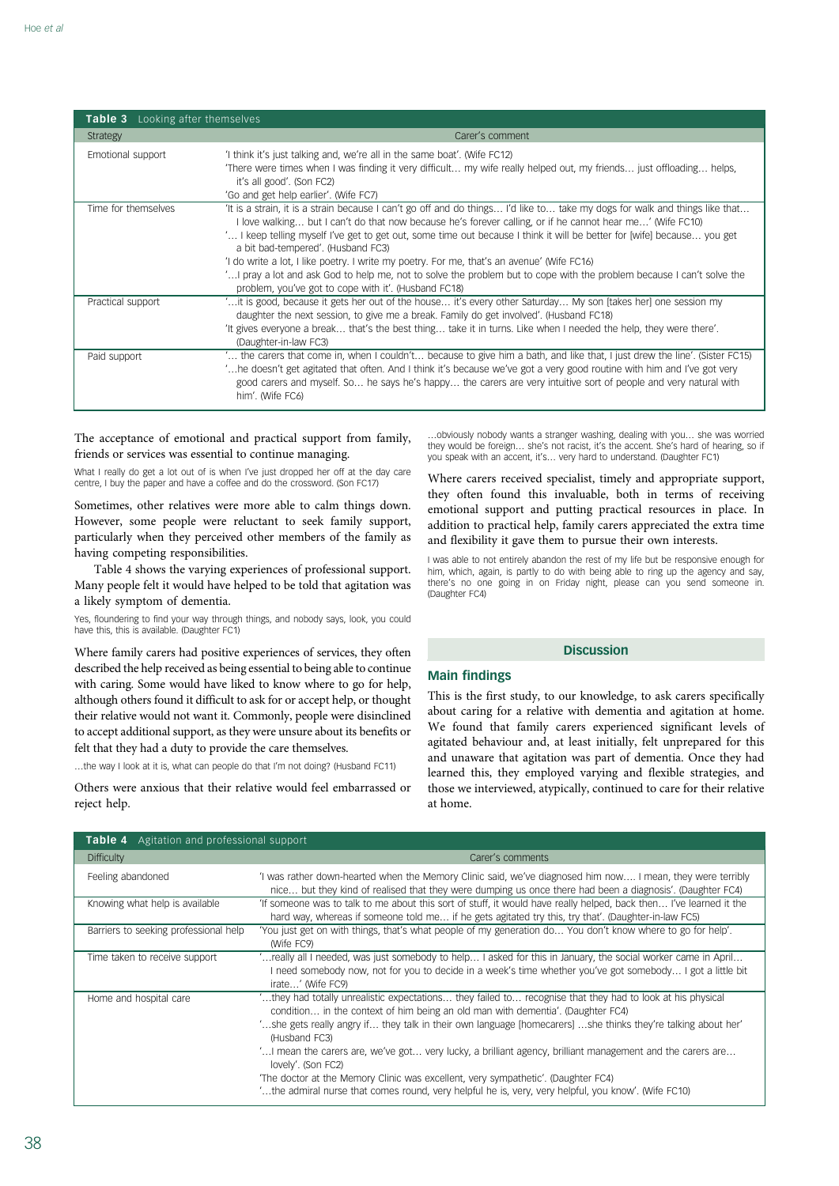<span id="page-4-0"></span>

| Table 3<br>Looking after themselves |                                                                                                                                                                                                                                                                                                                                                                                                                                                                                                                                                                                                                                                                                         |  |
|-------------------------------------|-----------------------------------------------------------------------------------------------------------------------------------------------------------------------------------------------------------------------------------------------------------------------------------------------------------------------------------------------------------------------------------------------------------------------------------------------------------------------------------------------------------------------------------------------------------------------------------------------------------------------------------------------------------------------------------------|--|
| <b>Strategy</b>                     | Carer's comment                                                                                                                                                                                                                                                                                                                                                                                                                                                                                                                                                                                                                                                                         |  |
| Emotional support                   | 'I think it's just talking and, we're all in the same boat'. (Wife FC12)<br>'There were times when I was finding it very difficult my wife really helped out, my friends just offloading helps,<br>it's all good'. (Son FC2)<br>'Go and get help earlier'. (Wife FC7)                                                                                                                                                                                                                                                                                                                                                                                                                   |  |
| Time for themselves                 | 'It is a strain, it is a strain because I can't go off and do things I'd like to take my dogs for walk and things like that<br>I love walking but I can't do that now because he's forever calling, or if he cannot hear me' (Wife FC10)<br>I keep telling myself I've get to get out, some time out because I think it will be better for [wife] because you get<br>a bit bad-tempered'. (Husband FC3)<br>'I do write a lot, I like poetry. I write my poetry. For me, that's an avenue' (Wife FC16)<br>" I pray a lot and ask God to help me, not to solve the problem but to cope with the problem because I can't solve the<br>problem, you've got to cope with it'. (Husband FC18) |  |
| Practical support                   | it is good, because it gets her out of the house it's every other Saturday My son [takes her] one session my<br>daughter the next session, to give me a break. Family do get involved'. (Husband FC18)<br>'It gives everyone a break that's the best thing take it in turns. Like when I needed the help, they were there'.<br>(Daughter-in-law FC3)                                                                                                                                                                                                                                                                                                                                    |  |
| Paid support                        | " the carers that come in, when I couldn't because to give him a bath, and like that, I just drew the line'. (Sister FC15)<br>"he doesn't get agitated that often. And I think it's because we've got a very good routine with him and I've got very<br>good carers and myself. So he says he's happy the carers are very intuitive sort of people and very natural with<br>him'. (Wife FC6)                                                                                                                                                                                                                                                                                            |  |

## The acceptance of emotional and practical support from family, friends or services was essential to continue managing.

What I really do get a lot out of is when I've just dropped her off at the day care centre, I buy the paper and have a coffee and do the crossword. (Son FC17)

Sometimes, other relatives were more able to calm things down. However, some people were reluctant to seek family support, particularly when they perceived other members of the family as having competing responsibilities.

Table 4 shows the varying experiences of professional support. Many people felt it would have helped to be told that agitation was a likely symptom of dementia.

Yes, floundering to find your way through things, and nobody says, look, you could have this, this is available. (Daughter FC1)

Where family carers had positive experiences of services, they often described the help received as being essential to being able to continue with caring. Some would have liked to know where to go for help, although others found it difficult to ask for or accept help, or thought their relative would not want it. Commonly, people were disinclined to accept additional support, as they were unsure about its benefits or felt that they had a duty to provide the care themselves.

…the way I look at it is, what can people do that I'm not doing? (Husband FC11)

Others were anxious that their relative would feel embarrassed or reject help.

…obviously nobody wants a stranger washing, dealing with you… she was worried they would be foreign… she's not racist, it's the accent. She's hard of hearing, so if you speak with an accent, it's… very hard to understand. (Daughter FC1)

Where carers received specialist, timely and appropriate support, they often found this invaluable, both in terms of receiving emotional support and putting practical resources in place. In addition to practical help, family carers appreciated the extra time and flexibility it gave them to pursue their own interests.

I was able to not entirely abandon the rest of my life but be responsive enough for him, which, again, is partly to do with being able to ring up the agency and say, there's no one going in on Friday night, please can you send someone in. (Daughter FC4)

## **Discussion**

#### Main findings

This is the first study, to our knowledge, to ask carers specifically about caring for a relative with dementia and agitation at home. We found that family carers experienced significant levels of agitated behaviour and, at least initially, felt unprepared for this and unaware that agitation was part of dementia. Once they had learned this, they employed varying and flexible strategies, and those we interviewed, atypically, continued to care for their relative at home.

| <b>Table 4</b> Agitation and professional support |                                                                                                                                                                                                                                                                                                                                                                                                                                                                                                                                                                                                                                                               |  |
|---------------------------------------------------|---------------------------------------------------------------------------------------------------------------------------------------------------------------------------------------------------------------------------------------------------------------------------------------------------------------------------------------------------------------------------------------------------------------------------------------------------------------------------------------------------------------------------------------------------------------------------------------------------------------------------------------------------------------|--|
| Difficulty                                        | Carer's comments                                                                                                                                                                                                                                                                                                                                                                                                                                                                                                                                                                                                                                              |  |
| Feeling abandoned                                 | 'I was rather down-hearted when the Memory Clinic said, we've diagnosed him now I mean, they were terribly<br>nice but they kind of realised that they were dumping us once there had been a diagnosis'. (Daughter FC4)                                                                                                                                                                                                                                                                                                                                                                                                                                       |  |
| Knowing what help is available                    | 'If someone was to talk to me about this sort of stuff, it would have really helped, back then I've learned it the<br>hard way, whereas if someone told me if he gets agitated try this, try that'. (Daughter-in-law FC5)                                                                                                                                                                                                                                                                                                                                                                                                                                     |  |
| Barriers to seeking professional help             | 'You just get on with things, that's what people of my generation do You don't know where to go for help'.<br>(Wife FC9)                                                                                                                                                                                                                                                                                                                                                                                                                                                                                                                                      |  |
| Time taken to receive support                     | 'really all I needed, was just somebody to help I asked for this in January, the social worker came in April<br>I need somebody now, not for you to decide in a week's time whether you've got somebody I got a little bit<br>irate' (Wife FC9)                                                                                                                                                                                                                                                                                                                                                                                                               |  |
| Home and hospital care                            | they had totally unrealistic expectations they failed to recognise that they had to look at his physical<br>condition in the context of him being an old man with dementia'. (Daughter FC4)<br>'she gets really angry if they talk in their own language [homecarers] she thinks they're talking about her'<br>(Husband FC3)<br>" I mean the carers are, we've got very lucky, a brilliant agency, brilliant management and the carers are<br>lovely'. (Son FC2)<br>'The doctor at the Memory Clinic was excellent, very sympathetic'. (Daughter FC4)<br>tthe admiral nurse that comes round, very helpful he is, very, very helpful, you know'. (Wife FC10). |  |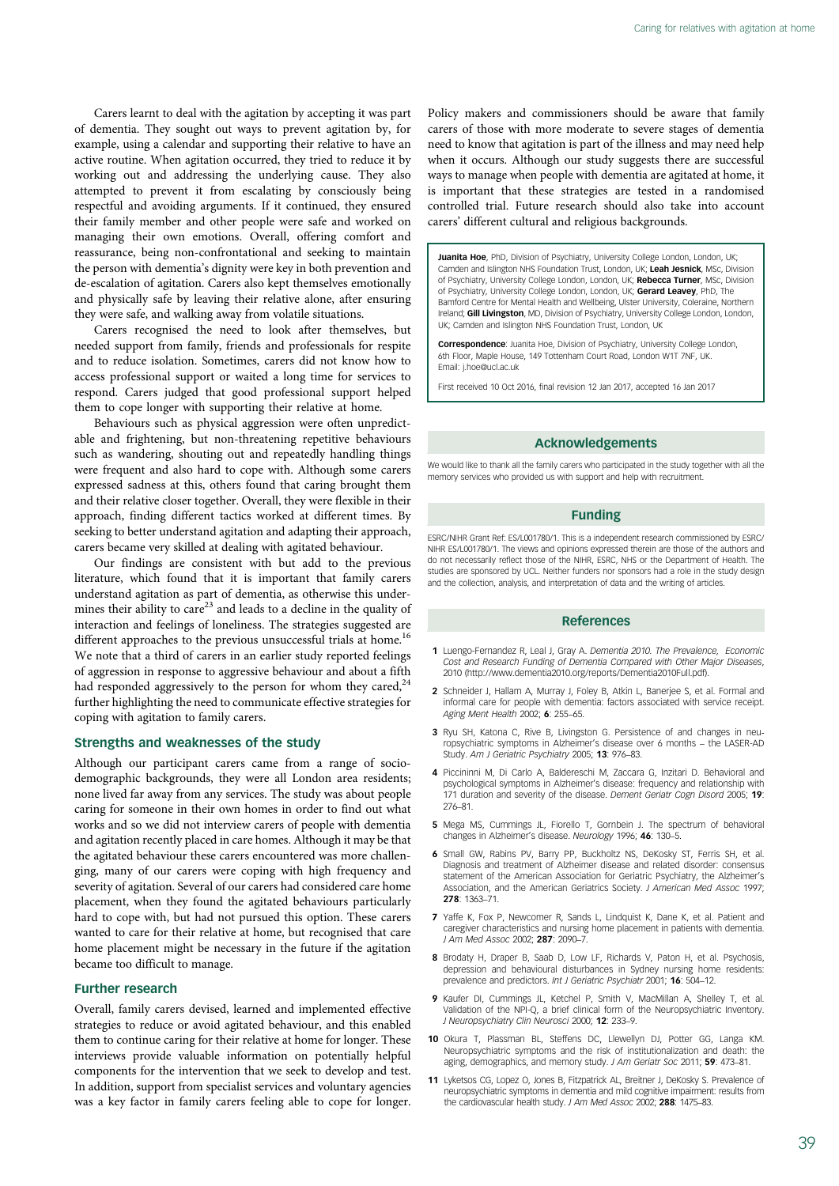<span id="page-5-0"></span>Carers learnt to deal with the agitation by accepting it was part of dementia. They sought out ways to prevent agitation by, for example, using a calendar and supporting their relative to have an active routine. When agitation occurred, they tried to reduce it by working out and addressing the underlying cause. They also attempted to prevent it from escalating by consciously being respectful and avoiding arguments. If it continued, they ensured their family member and other people were safe and worked on managing their own emotions. Overall, offering comfort and reassurance, being non-confrontational and seeking to maintain the person with dementia's dignity were key in both prevention and de-escalation of agitation. Carers also kept themselves emotionally and physically safe by leaving their relative alone, after ensuring they were safe, and walking away from volatile situations.

Carers recognised the need to look after themselves, but needed support from family, friends and professionals for respite and to reduce isolation. Sometimes, carers did not know how to access professional support or waited a long time for services to respond. Carers judged that good professional support helped them to cope longer with supporting their relative at home.

Behaviours such as physical aggression were often unpredictable and frightening, but non-threatening repetitive behaviours such as wandering, shouting out and repeatedly handling things were frequent and also hard to cope with. Although some carers expressed sadness at this, others found that caring brought them and their relative closer together. Overall, they were flexible in their approach, finding different tactics worked at different times. By seeking to better understand agitation and adapting their approach, carers became very skilled at dealing with agitated behaviour.

Our findings are consistent with but add to the previous literature, which found that it is important that family carers understand agitation as part of dementia, as otherwise this undermines their ability to care<sup>23</sup> and leads to a decline in the quality of interaction and feelings of loneliness. The strategies suggested are different approaches to the previous unsuccessful trials at home.<sup>[16](#page-6-0)</sup> We note that a third of carers in an earlier study reported feelings of aggression in response to aggressive behaviour and about a fifth had responded aggressively to the person for whom they cared, $24$ further highlighting the need to communicate effective strategies for coping with agitation to family carers.

#### Strengths and weaknesses of the study

Although our participant carers came from a range of sociodemographic backgrounds, they were all London area residents; none lived far away from any services. The study was about people caring for someone in their own homes in order to find out what works and so we did not interview carers of people with dementia and agitation recently placed in care homes. Although it may be that the agitated behaviour these carers encountered was more challenging, many of our carers were coping with high frequency and severity of agitation. Several of our carers had considered care home placement, when they found the agitated behaviours particularly hard to cope with, but had not pursued this option. These carers wanted to care for their relative at home, but recognised that care home placement might be necessary in the future if the agitation became too difficult to manage.

## Further research

Overall, family carers devised, learned and implemented effective strategies to reduce or avoid agitated behaviour, and this enabled them to continue caring for their relative at home for longer. These interviews provide valuable information on potentially helpful components for the intervention that we seek to develop and test. In addition, support from specialist services and voluntary agencies was a key factor in family carers feeling able to cope for longer.

Policy makers and commissioners should be aware that family carers of those with more moderate to severe stages of dementia need to know that agitation is part of the illness and may need help when it occurs. Although our study suggests there are successful ways to manage when people with dementia are agitated at home, it is important that these strategies are tested in a randomised controlled trial. Future research should also take into account carers' different cultural and religious backgrounds.

Juanita Hoe, PhD, Division of Psychiatry, University College London, London, UK; Camden and Islington NHS Foundation Trust, London, UK; Leah Jesnick, MSc, Division of Psychiatry, University College London, London, UK; Rebecca Turner, MSc, Division of Psychiatry, University College London, London, UK; Gerard Leavey, PhD, The Bamford Centre for Mental Health and Wellbeing, Ulster University, Coleraine, Northern Ireland; **Gill Livingston**, MD, Division of Psychiatry, University College London, London, UK; Camden and Islington NHS Foundation Trust, London, UK

Correspondence: Juanita Hoe, Division of Psychiatry, University College London, 6th Floor, Maple House, 149 Tottenham Court Road, London W1T 7NF, UK. Email: [j.hoe@ucl.ac.uk](mailto:j.hoe@ucl.ac.uk)

First received 10 Oct 2016, final revision 12 Jan 2017, accepted 16 Jan 2017

#### Acknowledgements

We would like to thank all the family carers who participated in the study together with all the memory services who provided us with support and help with recruitment.

# Funding

ESRC/NIHR Grant Ref: ES/L001780/1. This is a independent research commissioned by ESRC/ NIHR ES/L001780/1. The views and opinions expressed therein are those of the authors and do not necessarily reflect those of the NIHR, ESRC, NHS or the Department of Health. The studies are sponsored by UCL. Neither funders nor sponsors had a role in the study design and the collection, analysis, and interpretation of data and the writing of articles.

#### References

- 1 Luengo-Fernandez R, Leal J, Gray A, Dementia 2010. The Prevalence, Economic Cost and Research Funding of Dementia Compared with Other Major Diseases, 2010 ([http://www.dementia2010.org/reports/Dementia2010Full.pdf\).](http://www.dementia2010.org/reports/Dementia2010Full.pdf)
- 2 Schneider J, Hallam A, Murray J, Foley B, Atkin L, Banerjee S, et al. Formal and informal care for people with dementia: factors associated with service receipt. Aging Ment Health 2002; 6: 255–65.
- 3 Ryu SH, Katona C, Rive B, Livingston G. Persistence of and changes in neu‐ ropsychiatric symptoms in Alzheimer's disease over 6 months – the LASER-AD Study. Am J Geriatric Psychiatry 2005; 13: 976-83.
- 4 Piccininni M, Di Carlo A, Baldereschi M, Zaccara G, Inzitari D. Behavioral and psychological symptoms in Alzheimer's disease: frequency and relationship with 171 duration and severity of the disease. Dement Geriatr Cogn Disord 2005; 19: 276–81.
- 5 Mega MS, Cummings JL, Fiorello T, Gornbein J. The spectrum of behavioral changes in Alzheimer's disease. Neurology 1996; 46: 130–5.
- 6 Small GW, Rabins PV, Barry PP, Buckholtz NS, DeKosky ST, Ferris SH, et al. Diagnosis and treatment of Alzheimer disease and related disorder: consensus statement of the American Association for Geriatric Psychiatry, the Alzheimer's Association, and the American Geriatrics Society. J American Med Assoc 1997; 278: 1363–71.
- 7 Yaffe K, Fox P, Newcomer R, Sands L, Lindquist K, Dane K, et al. Patient and caregiver characteristics and nursing home placement in patients with dementia. J Am Med Assoc 2002; 287: 2090–7.
- 8 Brodaty H, Draper B, Saab D, Low LF, Richards V, Paton H, et al. Psychosis depression and behavioural disturbances in Sydney nursing home residents: prevalence and predictors. Int J Geriatric Psychiatr 2001; 16: 504-12.
- 9 Kaufer DI, Cummings JL, Ketchel P, Smith V, MacMillan A, Shelley T, et al. Validation of the NPI-Q, a brief clinical form of the Neuropsychiatric Inventory. J Neuropsychiatry Clin Neurosci 2000; 12: 233–9.
- 10 Okura T, Plassman BL, Steffens DC, Llewellyn DJ, Potter GG, Langa KM. Neuropsychiatric symptoms and the risk of institutionalization and death: the aging, demographics, and memory study. J Am Geriatr Soc 2011; 59: 473-81.
- 11 Lyketsos CG, Lopez O, Jones B, Fitzpatrick AL, Breitner J, DeKosky S. Prevalence of neuropsychiatric symptoms in dementia and mild cognitive impairment: results from the cardiovascular health study. J Am Med Assoc 2002; 288: 1475-83.